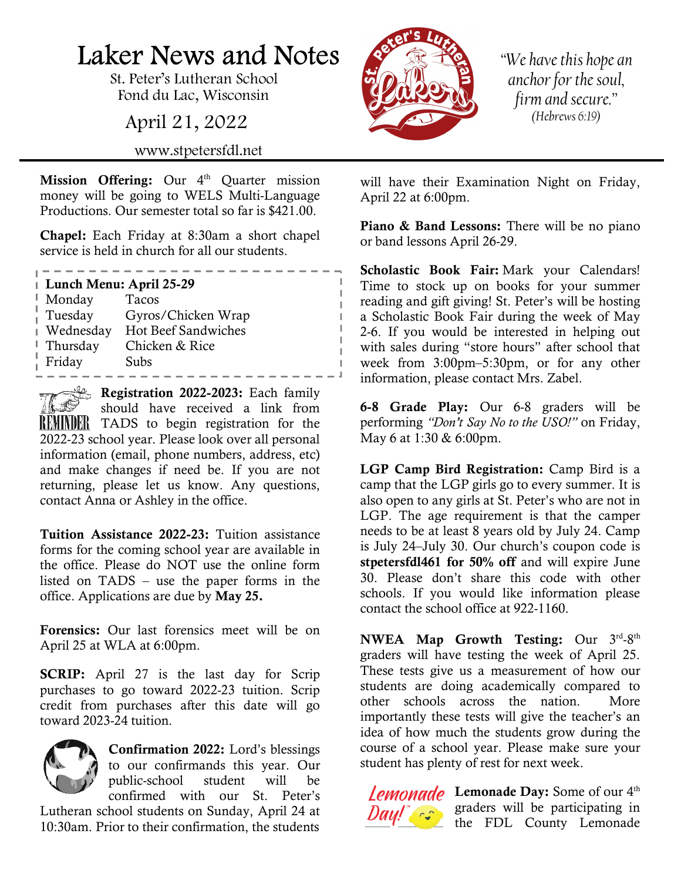## Laker News and Notes

St. Peter's Lutheran School Fond du Lac, Wisconsin

April 21, 2022

www.stpetersfdl.net

Mission Offering: Our 4<sup>th</sup> Quarter mission money will be going to WELS Multi-Language Productions. Our semester total so far is \$421.00.

Chapel: Each Friday at 8:30am a short chapel service is held in church for all our students.

. <u>. . . . . . . . . . . . .</u> .

## Lunch Menu: April 25-29

| Monday    | Tacos               |
|-----------|---------------------|
| Tuesday   | Gyros/Chicken Wrap  |
| Wednesday | Hot Beef Sandwiches |
| Thursday  | Chicken & Rice      |
| Friday    | Subs                |

 $\mathbb{R}$  Registration 2022-2023: Each family should have received a link from REMINDER TADS to begin registration for the 2022-23 school year. Please look over all personal information (email, phone numbers, address, etc) and make changes if need be. If you are not returning, please let us know. Any questions, contact Anna or Ashley in the office.

Tuition Assistance 2022-23: Tuition assistance forms for the coming school year are available in the office. Please do NOT use the online form listed on TADS – use the paper forms in the office. Applications are due by May 25.

Forensics: Our last forensics meet will be on April 25 at WLA at 6:00pm.

**SCRIP:** April 27 is the last day for Scrip purchases to go toward 2022-23 tuition. Scrip credit from purchases after this date will go toward 2023-24 tuition.



Confirmation 2022: Lord's blessings to our confirmands this year. Our public-school student will be confirmed with our St. Peter's

Lutheran school students on Sunday, April 24 at 10:30am. Prior to their confirmation, the students



"We have this hope an anchor for the soul, firm and secure." (Hebrews 6:19)

will have their Examination Night on Friday, April 22 at 6:00pm.

Piano & Band Lessons: There will be no piano or band lessons April 26-29.

Scholastic Book Fair: Mark your Calendars! Time to stock up on books for your summer reading and gift giving! St. Peter's will be hosting a Scholastic Book Fair during the week of May 2-6. If you would be interested in helping out with sales during "store hours" after school that week from 3:00pm–5:30pm, or for any other information, please contact Mrs. Zabel.

6-8 Grade Play: Our 6-8 graders will be performing "Don't Say No to the USO!" on Friday, May 6 at 1:30 & 6:00pm.

LGP Camp Bird Registration: Camp Bird is a camp that the LGP girls go to every summer. It is also open to any girls at St. Peter's who are not in LGP. The age requirement is that the camper needs to be at least 8 years old by July 24. Camp is July 24–July 30. Our church's coupon code is stpetersfdl461 for 50% off and will expire June 30. Please don't share this code with other schools. If you would like information please contact the school office at 922-1160.

NWEA Map Growth Testing: Our 3rd-8th graders will have testing the week of April 25. These tests give us a measurement of how our students are doing academically compared to other schools across the nation. More importantly these tests will give the teacher's an idea of how much the students grow during the course of a school year. Please make sure your student has plenty of rest for next week.

Lemonade Day: Some of our 4<sup>th</sup> **Day!**  $\int_0^{\infty}$  graders will be participating in the FDL County Lemonade